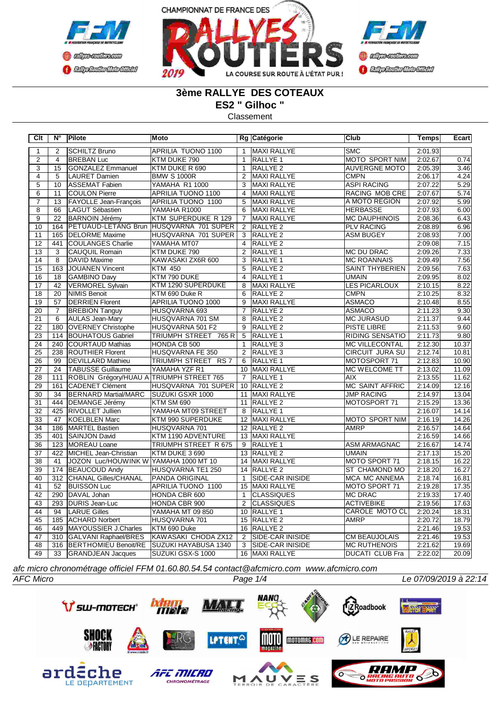



# **3ème RALLYE DES COTEAUX**

**ES2 " Gilhoc "**

Classement

| Clt             | $N^{\circ}$      | Pilote                                   | Moto                      |                | Rg Catégorie            | <b>Club</b>            | Temps   | Ecart |
|-----------------|------------------|------------------------------------------|---------------------------|----------------|-------------------------|------------------------|---------|-------|
| $\mathbf{1}$    | $\overline{2}$   | <b>SCHILTZ Bruno</b>                     | <b>APRILIA TUONO 1100</b> | $\mathbf{1}$   | <b>MAXI RALLYE</b>      | <b>SMC</b>             | 2:01.93 |       |
| $\overline{2}$  | $\overline{4}$   | <b>BREBAN Luc</b>                        | KTM DUKE 790              | $\mathbf{1}$   | RALLYE <sub>1</sub>     | MOTO SPORT NIM         | 2:02.67 | 0.74  |
| $\overline{3}$  | 15               | <b>GONZALEZ Emmanuel</b>                 | KTM DUKE R 690            | $\mathbf{1}$   | RALLYE <sub>2</sub>     | <b>AUVERGNE MOTO</b>   | 2:05.39 | 3.46  |
| $\overline{4}$  | $\overline{5}$   | <b>LAURET Damien</b>                     | <b>BMW S 1000R</b>        | $\overline{2}$ | <b>MAXI RALLYE</b>      | <b>CMPN</b>            | 2:06.17 | 4.24  |
| $\overline{5}$  | 10               | <b>ASSEMAT Fabien</b>                    | YAMAHA R1 1000            | 3              | <b>MAXI RALLYE</b>      | <b>ASPI RACING</b>     | 2:07.22 | 5.29  |
| $\overline{6}$  | 11               | <b>COULON Pierre</b>                     | <b>APRILIA TUONO 1100</b> | $\overline{4}$ | <b>MAXI RALLYE</b>      | RACING MOB CRE         | 2:07.67 | 5.74  |
| 7               | 13               | FAYOLLE Jean-François                    | APRILIA TUONO 1100        | 5              | <b>MAXI RALLYE</b>      | A MOTO REGION          | 2:07.92 | 5.99  |
| 8               | 66               | <b>LAGUT Sébastien</b>                   | YAMAHA R1000              | 6              | MAXI RALLYE             | <b>HERBASSE</b>        | 2:07.93 | 6.00  |
| $\overline{9}$  | $\overline{22}$  | <b>BARNOIN Jérémy</b>                    | KTM SUPERDUKE R 129       | $\overline{7}$ | <b>MAXI RALLYE</b>      | <b>MC DAUPHINOIS</b>   | 2:08.36 | 6.43  |
| 10              | 164              | <b>PETUAUD-LETANG Brun</b>               | HUSQVARNA 701 SUPER       | 2              | RALLYE <sub>2</sub>     | <b>PLV RACING</b>      | 2:08.89 | 6.96  |
| 11              | 165              | <b>DELORME Maxime</b>                    | HUSQVARNA 701 SUPER       | 3              | RALLYE <sub>2</sub>     | <b>ASM BUGEY</b>       | 2:08.93 | 7.00  |
| 12              | 441              | <b>COULANGES Charlie</b>                 | YAMAHA MT07               | $\overline{4}$ | RALLYE <sub>2</sub>     |                        | 2:09.08 | 7.15  |
| 13              | 3                | CAUQUIL Romain                           | KTM DUKE 790              | $\mathfrak{p}$ | <b>RALLYE 1</b>         | <b>MC DU DRAC</b>      | 2:09.26 | 7.33  |
| 14              | $\overline{8}$   | DAVID Maxime                             | KAWASAKI ZX6R 600         | 3              | <b>RALLYE 1</b>         | <b>MC ROANNAIS</b>     | 2:09.49 | 7.56  |
| $\overline{15}$ | 163              | JOUANEN Vincent                          | <b>KTM 450</b>            | $\overline{5}$ | <b>RALLYE 2</b>         | <b>SAINT THYBERIEN</b> | 2:09.56 | 7.63  |
| 16              | 18               | <b>GAMBINO Davy</b>                      | KTM 790 DUKE              | $\overline{4}$ | <b>RALLYE 1</b>         | <b>UMAIN</b>           | 2:09.95 | 8.02  |
| $\overline{17}$ | 42               | <b>VERMOREL Sylvain</b>                  | KTM 1290 SUPERDUKE        | 8              | MAXI RALLYE             | LES PICARLOUX          | 2:10.15 | 8.22  |
| $\overline{18}$ | $\overline{20}$  | <b>NIMIS Benoit</b>                      | KTM 690 Duke R            | 6              | RALLYE <sub>2</sub>     | <b>CMPN</b>            | 2:10.25 | 8.32  |
| 19              | 57               | <b>DERRIEN Florent</b>                   | APRILIA TUONO 1000        | 9              | <b>MAXI RALLYE</b>      | <b>ASMACO</b>          | 2:10.48 | 8.55  |
| $\overline{20}$ | $\overline{7}$   | <b>BREBION Tanguy</b>                    | HUSQVARNA 693             | $\overline{7}$ | RALLYE <sub>2</sub>     | <b>ASMACO</b>          | 2:11.23 | 9.30  |
| 21              | 6                | <b>AULAS Jean-Mary</b>                   | HUSQVARNA 701 SM          | 8              | RALLYE <sub>2</sub>     | <b>MC JURASUD</b>      | 2:11.37 | 9.44  |
| 22              | 180              | <b>OVERNEY Christophe</b>                | HUSQVARNA 501 F2          | 9              | RALLYE <sub>2</sub>     | PISTE LIBRE            | 2:11.53 | 9.60  |
| 23              | 114              | <b>BOUHATOUS Gabriel</b>                 | TRIUMPH STREET 765 R      | $\overline{5}$ | <b>RALLYE 1</b>         | <b>RIDING SENSATIO</b> | 2:11.73 | 9.80  |
| $\overline{24}$ | 240              | COURTAUD Mathias                         | HONDA CB 500              | $\mathbf{1}$   | RALLYE <sub>3</sub>     | <b>MC VILLECONTAL</b>  | 2:12.30 | 10.37 |
| $\overline{25}$ | 238              | <b>ROUTHIER Florent</b>                  | HUSQVARNA FE 350          | $\overline{2}$ | RALLYE <sub>3</sub>     | <b>CIRCUIT JURA SU</b> | 2:12.74 | 10.81 |
| $\overline{26}$ | 99               | <b>DEVILLARD Mathieu</b>                 | TRIUMPH STREET RS 7       | 6              | <b>RALLYE 1</b>         | MOTOSPORT 71           | 2:12.83 | 10.90 |
| 27              | 24               | <b>TABUSSE Guillaume</b>                 | YAMAHA YZF R1             |                | 10 MAXI RALLYE          | <b>MC WELCOME TT</b>   | 2:13.02 | 11.09 |
| $\overline{28}$ | 111              | ROBLIN Grégory/HUAU A TRIUMPH STREET 765 |                           | 7              | RALLYE 1                | <b>AIX</b>             | 2:13.55 | 11.62 |
| 29              | 161              | <b>CADENET Clément</b>                   | HUSQVARNA 701 SUPER       |                | 10 RALLYE 2             | <b>MC SAINT AFFRIC</b> | 2:14.09 | 12.16 |
| 30              | 34               | <b>BERNARD Martial/MARC</b>              | SUZUKI GSXR 1000          | 11             | <b>MAXI RALLYE</b>      | <b>JMP RACING</b>      | 2:14.97 | 13.04 |
| 31              | 444              | <b>DEMANGE Jérémy</b>                    | <b>KTM SM 690</b>         |                | 11 RALLYE 2             | MOTOSPORT 71           | 2:15.29 | 13.36 |
| $\overline{32}$ | 425              | <b>RIVOLLET Jullien</b>                  | YAMAHA MT09 STREET        | 8              | RALLYE <sub>1</sub>     |                        | 2:16.07 | 14.14 |
| 33              | 47               | <b>KOELBLEN Marc</b>                     | KTM 990 SUPERDUKE         |                | 12 MAXI RALLYE          | <b>MOTO SPORT NIM</b>  | 2:16.19 | 14.26 |
| $\overline{34}$ | 186              | MARTEL Bastien                           | HUSQVARNA 701             |                | 12 RALLYE 2             | <b>AMRP</b>            | 2:16.57 | 14.64 |
| $\overline{35}$ | 401              | <b>SAINJON David</b>                     | KTM 1190 ADVENTURE        |                | 13 MAXI RALLYE          |                        | 2:16.59 | 14.66 |
| $\overline{36}$ | 123              | MOREAU Loane                             | TRIUMPH STREET R 675      | 9              | RALLYE <sub>1</sub>     | <b>ASM ARMAGNAC</b>    | 2:16.67 | 14.74 |
| $\overline{37}$ | 422              | MICHEL Jean-Christian                    | KTM DUKE 3 690            |                | 13 RALLYE 2             | UMAIN                  | 2:17.13 | 15.20 |
| $\overline{38}$ | 41               | JOZON Luc/HOUWINK W                      | YAMAHA 1000 MT 10         |                | 14 MAXI RALLYE          | MOTO SPORT 71          | 2:18.15 | 16.22 |
| 39              | 174              | <b>BEAUCOUD Andy</b>                     | HUSQVARNA TE1 250         |                | 14 RALLYE 2             | ST CHAMOND MO          | 2:18.20 | 16.27 |
| 40              | $\overline{312}$ | <b>CHANAL Gilles/CHANAL</b>              | PANDA ORIGINAL            | $\mathbf{1}$   | <b>SIDE-CAR INISIDE</b> | <b>MCA MC ANNEMA</b>   | 2:18.74 | 16.81 |
| 41              | 52               | <b>BUISSON Luc</b>                       | APRILIA TUONO 1100        |                | 15 MAXI RALLYE          | MOTO SPORT 71          | 2:19.28 | 17.35 |
| $\overline{42}$ | 290              | DAVAL Johan                              | HONDA CBR 600             | $\mathbf{1}$   | <b>CLASSIQUES</b>       | <b>MC DRAC</b>         | 2:19.33 | 17.40 |
| $\overline{43}$ | 293              | <b>DURIS Jean-Luc</b>                    | HONDA CBR 900             | $\overline{2}$ | <b>CLASSIQUES</b>       | <b>ACTIVEBIKE</b>      | 2:19.56 | 17.63 |
| $\overline{44}$ | 94               | <b>LARUE Gilles</b>                      | YAMAHA MT 09 850          |                | 10 RALLYE 1             | <b>CAROLE MOTO CL</b>  | 2:20.24 | 18.31 |
| 45              | 185              | <b>ACHARD Norbert</b>                    | HUSQVARNA 701             |                | 15 RALLYE 2             | <b>AMRP</b>            | 2:20.72 | 18.79 |
| 46              | 449              | MAYOUSSIER J.Charles                     | KTM 690 Duke              | 16             | RALLYE <sub>2</sub>     |                        | 2:21.46 | 19.53 |
| 47              | 310              | GALVANI Raphael/BRES                     | KAWASAKI CHODA ZX12       | 2              | SIDE-CAR INISIDE        | <b>CM BEAUJOLAIS</b>   | 2:21.46 | 19.53 |
| 48              | 316              | <b>BERTHOMIEU Benoit/RE</b>              | SUZUKI HAYABUSA 1340      | $\overline{3}$ | SIDE-CAR INISIDE        | <b>MC RUTHENOIS</b>    | 2:21.62 | 19.69 |
| 49              | 33               | <b>GRANDJEAN Jacques</b>                 | SUZUKI GSX-S 1000         |                | 16 MAXI RALLYE          | <b>DUCATI CLUB Fra</b> | 2:22.02 | 20.09 |

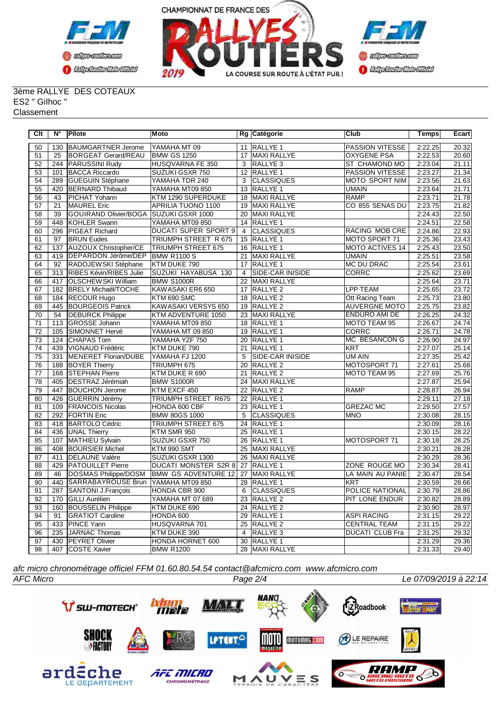



#### 3ème RALLYE DES COTEAUX ES2 " Gilhoc " **Classement**

| $\overline{C}$ It | $\overline{\mathsf{N}^{\circ}}$ | <b>Pilote</b>                | Moto                        |                 | Rg Catégorie        | <b>Club</b>            | <b>Temps</b> | <b>Ecart</b> |
|-------------------|---------------------------------|------------------------------|-----------------------------|-----------------|---------------------|------------------------|--------------|--------------|
| 50                | 130                             | <b>BAUMGARTNER Jerome</b>    | YAMAHA MT 09                | 11              | RALLYE <sub>1</sub> | <b>PASSION VITESSE</b> | 2:22.25      | 20.32        |
| 51                | 25                              | <b>BORGEAT Gerard/REAU</b>   | <b>BMW GS 1250</b>          | 17              | MAXI RALLYE         | <b>OXYGENE PSA</b>     | 2:22.53      | 20.60        |
| $\overline{52}$   | 244                             | <b>PARUSSINI Rudy</b>        | HUSQVARNA FE 350            | 3               | RALLYE 3            | ST CHAMOND MO          | 2:23.04      | 21.11        |
| 53                | 101                             | <b>BACCA Riccardo</b>        | SUZUKI GSXR 750             | 12              | RALLYE <sub>1</sub> | <b>PASSION VITESSE</b> | 2:23.27      | 21.34        |
| $\overline{54}$   | 289                             | <b>GUEGUIN Stéphane</b>      | YAMAHA TDR 240              | $\overline{3}$  | <b>CLASSIQUES</b>   | <b>MOTO SPORT NIM</b>  | 2:23.56      | 21.63        |
| 55                | 420                             | <b>BERNARD Thibaud</b>       | YAMAHA MT09 850             | 13              | RALLYE <sub>1</sub> | <b>UMAIN</b>           | 2:23.64      | 21.71        |
| 56                | 43                              | PICHAT Yohann                | KTM 1290 SUPERDUKE          | 18              | <b>MAXI RALLYE</b>  | <b>RAMP</b>            | 2:23.71      | 21.78        |
| 57                | $\overline{21}$                 | <b>MAUREL Eric</b>           | <b>APRILIA TUONO 1100</b>   | 19              | <b>MAXI RALLYE</b>  | CO 855 SENAS DU        | 2:23.75      | 21.82        |
| $\overline{58}$   | 39                              | GOUIRAND Olivier/BOGA        | <b>SUZUKI GSXR 1000</b>     | $\overline{20}$ | <b>MAXI RALLYE</b>  |                        | 2:24.43      | 22.50        |
| $\overline{59}$   | 448                             | <b>KOHLER Swann</b>          | YAMAHA MT09 850             | 14              | <b>RALLYE 1</b>     |                        | 2:24.51      | 22.58        |
| 60                | 296                             | <b>PIGEAT Richard</b>        | DUCATI SUPER SPORT 9        | 4               | <b>CLASSIQUES</b>   | <b>RACING MOB CRE</b>  | 2:24.86      | 22.93        |
| 61                | 97                              | <b>BRUN Eudes</b>            | TRIUMPH STREET R 675        | 15              | <b>RALLYE 1</b>     | MOTO SPORT 71          | 2:25.36      | 23.43        |
| 62                | 137                             | <b>AUZOUX Christopher/CE</b> | <b>TRIUMPH STREET 675</b>   |                 | 16 RALLYE 1         | <b>MOTO ACTIVES 14</b> | 2:25.43      | 23.50        |
| 63                | 419                             | <b>DEPARDON Jérôme/DEP</b>   | <b>BMW R1100 S</b>          | 21              | MAXI RALLYE         | <b>UMAIN</b>           | 2:25.51      | 23.58        |
| 64                | 92                              | RADOJEWSKI Stéphane          | KTM DUKE 790                | 17              | RALLYE <sub>1</sub> | <b>MC DU DRAC</b>      | 2:25.54      | 23.61        |
| 65                | 313                             | RIBES Kévin/RIBES Julie      | SUZUKI HAYABUSA 130         | $\overline{4}$  | SIDE-CAR INISIDE    | <b>CORRC</b>           | 2:25.62      | 23.69        |
| 66                | 417                             | <b>OLSCHEWSKI William</b>    | <b>BMW S1000R</b>           | 22              | <b>MAXI RALLYE</b>  |                        | 2:25.64      | 23.71        |
| 67                | 182                             | <b>BRELY Michaël/TOCHE</b>   | KAWASAKI ER6 650            | 17              | <b>RALLYE 2</b>     | <b>LPP TEAM</b>        | 2:25.65      | 23.72        |
| 68                | 184                             | <b>RECOUR Hugo</b>           | KTM 690 SMC                 |                 | 18 RALLYE 2         | Ott Racing Team        | 2:25.73      | 23.80        |
| 69                | 445                             | <b>BOURGEOIS Patrick</b>     | KAWASAKI VERSYS 650         | 19              | RALLYE <sub>2</sub> | <b>AUVERGNE MOTO</b>   | 2:25.75      | 23.82        |
| $\overline{70}$   | $\overline{54}$                 | <b>DEBURCK Philippe</b>      | KTM ADVENTURE 1050          |                 | 23 MAXI RALLYE      | <b>ENDURO AMI DE</b>   | 2:26.25      | 24.32        |
| $\overline{71}$   | $\overline{113}$                | <b>GROSSE Johann</b>         | YAMAHA MT09 850             |                 | 18 RALLYE 1         | <b>MOTO TEAM 95</b>    | 2:26.67      | 24.74        |
| $\overline{72}$   | 105                             | SIMONNET Hervé               | YAMAHA MT 09 850            | 19              | <b>RALLYE 1</b>     | <b>CORRC</b>           | 2:26.71      | 24.78        |
| 73                | 124                             | <b>ICHAPAS Tom</b>           | YAMAHA YZF 750              | 20              | <b>RALLYE 1</b>     | <b>MC BESANCON G</b>   | 2:26.90      | 24.97        |
| $\overline{74}$   | 439                             | <b>VIGNAUD Frédéric</b>      | KTM DUKE 790                | 21              | <b>RALLYE 1</b>     | <b>KRT</b>             | 2:27.07      | 25.14        |
| $\overline{75}$   | 331                             | <b>MENERET Florian/DUBE</b>  | YAMAHA FJ 1200              | 5               | SIDE-CAR INISIDE    | <b>UM AIN</b>          | 2:27.35      | 25.42        |
| 76                | 188                             | <b>BOYER Thierry</b>         | TRIUMPH 675                 | 20              | <b>RALLYE 2</b>     | MOTOSPORT 71           | 2:27.61      | 25.68        |
| $\overline{77}$   | 168                             | <b>STEPHAN Pierre</b>        | KTM DUKE R 690              | $\overline{21}$ | <b>RALLYE 2</b>     | <b>MOTO TEAM 95</b>    | 2:27.69      | 25.76        |
| $\overline{78}$   | 405                             | <b>DESTRAZ Jérémiah</b>      | <b>BMW S1000R</b>           | $\overline{24}$ | <b>MAXI RALLYE</b>  |                        | 2:27.87      | 25.94        |
| 79                | 447                             | <b>BOUCHON Jerome</b>        | KTM EXCF 450                | 22              | RALLYE <sub>2</sub> | RAMP                   | 2:28.87      | 26.94        |
| 80                | 426                             | GUERRIN Jérémy               | TRIUMPH STREET R675         | 22              | RALLYE 1            |                        | 2:29.11      | 27.18        |
| 81                | 109                             | <b>FRANCOIS Nicolas</b>      | HONDA 600 CBF               | 23              | RALLYE <sub>1</sub> | <b>GREZAC MC</b>       | 2:29.50      | 27.57        |
| 82                | 292                             | <b>FORTIN Eric</b>           | <b>BMW 80GS 1000</b>        | 5               | <b>CLASSIQUES</b>   | <b>MNO</b>             | 2:30.08      | 28.15        |
| 83                | 418                             | <b>BARTOLO Cédric</b>        | TRIUMPH STREET 675          | 24              | RALLYE 1            |                        | 2:30.09      | 28.16        |
| 84                | 436                             | <b>UNAL Thierry</b>          | KTM SMR 950                 | 25              | <b>RALLYE 1</b>     |                        | 2:30.15      | 28.22        |
| 85                | 107                             | MATHIEU Sylvain              | SUZUKI GSXR 750             | 26              | RALLYE <sub>1</sub> | MOTOSPORT 71           | 2:30.18      | 28.25        |
| 86                | 408                             | <b>BOURSIER Michel</b>       | KTM 990 SMT                 | 25              | <b>MAXI RALLYE</b>  |                        | 2:30.21      | 28.28        |
| 87                | 411                             | <b>DELAUNE Valère</b>        | SUZUKI GSXR 1300            | 26              | MAXI RALLYE         |                        | 2:30.29      | 28.36        |
| 88                | 429                             | <b>PATOUILLET Pierre</b>     | <b>DUCATI MONSTER S2R 8</b> |                 | 27 RALLYE 1         | ZONE ROUGE MO          | 2:30.34      | 28.41        |
| 89                | 46                              | DOSMAS Philippe/DOSM         | <b>BMW GS ADVENTURE 12</b>  | 27              | <b>MAXI RALLYE</b>  | LA MAIN AU PANIE       | 2:30.47      | 28.54        |
| $\overline{90}$   | 440                             | SARRABAYROUSE Brun           | YAMAHA MT09 850             | 28              | <b>RALLYE 1</b>     | <b>KRT</b>             | 2:30.59      | 28.66        |
| $\overline{91}$   | 287                             | SANTONI J.François           | HONDA CBR 900               | 6               | <b>CLASSIQUES</b>   | POLICE NATIONAL        | 2:30.79      | 28.86        |
| 92                | 170                             | <b>GILLI</b> Aurélien        | YAMAHA MT 07 689            | 23              | RALLYE <sub>2</sub> | PIT LONE ENDUR         | 2:30.82      | 28.89        |
| 93                | 160                             | <b>BOUSSELIN Philippe</b>    | KTM DUKE 690                | 24              | RALLYE <sub>2</sub> |                        | 2:30.90      | 28.97        |
| 94                | 91                              | <b>GRATIOT Caroline</b>      | HONDA 600                   | 29              | RALLYE 1            | <b>ASPI RACING</b>     | 2:31.15      | 29.22        |
| 95                | 433                             | PINCE Yann                   | HUSQVARNA 701               | 25              | RALLYE <sub>2</sub> | <b>CENTRAL TEAM</b>    | 2:31.15      | 29.22        |
| 96                | 235                             | JARNAC Thomas                | KTM DUKE 390                | $\overline{4}$  | RALLYE <sub>3</sub> | <b>DUCATI CLUB Fra</b> | 2:31.25      | 29.32        |
| 97                | 430                             | <b>PEYRET Olivier</b>        | HONDA HORNET 600            | $\overline{30}$ | RALLYE <sub>1</sub> |                        | 2:31.29      | 29.36        |
| 98                | 407                             | COSTE Xavier                 | <b>BMW R1200</b>            |                 | 28 MAXI RALLYE      |                        | 2:31.33      | 29.40        |

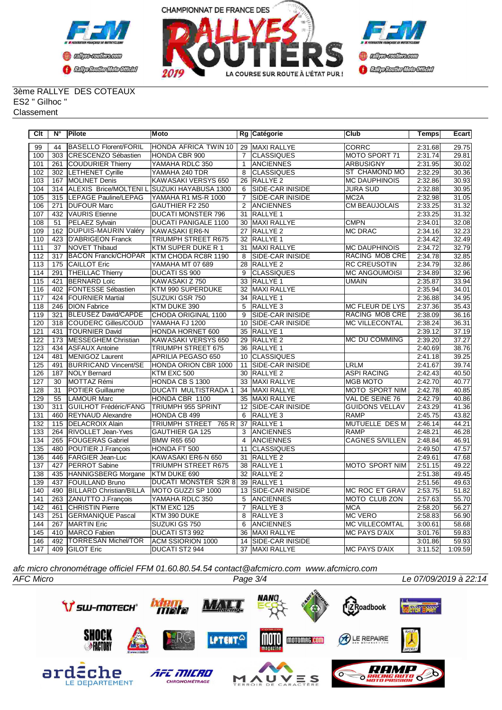



#### 3ème RALLYE DES COTEAUX ES2 " Gilhoc " **Classement**

| $\overline{C}$ It | N°              | <b>Pilote</b>                  | Moto                       |                 | Rg Catégorie            | <b>Club</b>            | <b>Temps</b> | <b>Ecart</b> |
|-------------------|-----------------|--------------------------------|----------------------------|-----------------|-------------------------|------------------------|--------------|--------------|
| 99                | 44              | <b>BASELLO Florent/FORIL</b>   | HONDA AFRICA TWIN 10       |                 | 29 MAXI RALLYE          | <b>CORRC</b>           | 2:31.68      | 29.75        |
| 100               | 303             | CRESCENZO Sébastien            | HONDA CBR 900              | $\overline{7}$  | <b>CLASSIQUES</b>       | MOTO SPORT 71          | 2:31.74      | 29.81        |
| 101               | 261             | COUDURIER Thierry              | YAMAHA RDLC 350            | $\mathbf{1}$    | <b>ANCIENNES</b>        | <b>ARBUSIGNY</b>       | 2:31.95      | 30.02        |
| 102               | 302             | <b>LETHENET Cyrille</b>        | YAMAHA 240 TDR             | 8               | <b>CLASSIQUES</b>       | ST CHAMOND MO          | 2:32.29      | 30.36        |
| 103               | 167             | <b>MOLINET Denis</b>           | KAWASAKI VERSYS 650        | $\overline{26}$ | RALLYE <sub>2</sub>     | <b>MC DAUPHINOIS</b>   | 2:32.86      | 30.93        |
| 104               | 314             | <b>ALEXIS Brice/MOLTENIL</b>   | SUZUKI HAYABUSA 1300       | 6               | SIDE-CAR INISIDE        | JURA SUD               | 2:32.88      | 30.95        |
| 105               | 315             | LEPAGE Pauline/LEPAG           | YAMAHA R1 MS-R 1000        | $\overline{7}$  | SIDE-CAR INISIDE        | MC <sub>2</sub> A      | 2:32.98      | 31.05        |
| 106               | 271             | <b>DUFOUR Marc</b>             | <b>GAUTHIER F2 250</b>     | $\overline{2}$  | <b>ANCIENNES</b>        | <b>CM BEAUJOLAIS</b>   | 2:33.25      | 31.32        |
| 107               | 432             | <b>VAURIS</b> Etienne          | <b>DUCATI MONSTER 796</b>  | $\overline{31}$ | <b>RALLYE 1</b>         |                        | 2:33.25      | 31.32        |
| 108               | 51              | <b>PELAEZ Sylvain</b>          | DUCATI PANIGALE 1100       | 30              | <b>MAXI RALLYE</b>      | <b>CMPN</b>            | 2:34.01      | 32.08        |
| 109               |                 | 162   DUPUIS-MAURIN Valéry     | KAWASAKI ER6-N             | 27              | <b>RALLYE 2</b>         | <b>MC DRAC</b>         | 2:34.16      | 32.23        |
| 110               | 423             | D'ABRIGEON Franck              | TRIUMPH STREET R675        | 32              | RALLYE 1                |                        | 2:34.42      | 32.49        |
| 111               | 37              | NOVET Thibaud                  | KTM SUPER DUKE R 1         | 31              | MAXI RALLYE             | <b>MC DAUPHINOIS</b>   | 2:34.72      | 32.79        |
| 112               | 317             | <b>BACON Franck/CHOPAR</b>     | KTM CHODA RC8R 1190        | 8               | <b>SIDE-CAR INISIDE</b> | <b>RACING MOB CRE</b>  | 2:34.78      | 32.85        |
| 113               | 175             | <b>CAILLOT Eric</b>            | YAMAHA MT 07 689           | 28              | RALLYE <sub>2</sub>     | <b>RC CREUSOTIN</b>    | 2:34.79      | 32.86        |
| 114               | 291             | <b>THEILLAC Thierry</b>        | <b>DUCATI SS 900</b>       | 9               | <b>CLASSIQUES</b>       | <b>MC ANGOUMOISI</b>   | 2:34.89      | 32.96        |
| 115               | 421             | <b>BERNARD Loïc</b>            | KAWASAKI Z 750             | 33              | RALLYE 1                | <b>UMAIN</b>           | 2:35.87      | 33.94        |
| 116               | 402             | <b>FONTESSE Sébastien</b>      | KTM 990 SUPERDUKE          | 32              | <b>MAXI RALLYE</b>      |                        | 2:35.94      | 34.01        |
| 117               | 424             | <b>FOURNIER Martial</b>        | SUZUKI GSR 750             | 34              | RALLYE 1                |                        | 2:36.88      | 34.95        |
| 118               | 246             | <b>DION Fabrice</b>            | KTM DUKE 390               | 5               | RALLYE <sub>3</sub>     | <b>MC FLEUR DE LYS</b> | 2:37.36      | 35.43        |
| 119               | 321             | <b>BLEUSEZ David/CAPDE</b>     | CHODA ORIGINAL 1100        | 9               | <b>SIDE-CAR INISIDE</b> | <b>RACING MOB CRE</b>  | 2:38.09      | 36.16        |
| 120               | 318             | <b>COUDERC Gilles/COUD</b>     | YAMAHA FJ 1200             | 10              | <b>SIDE-CAR INISIDE</b> | <b>MC VILLECONTAL</b>  | 2:38.24      | 36.31        |
| 121               | 431             | <b>TOURNIER David</b>          | HONDA HORNET 600           | 35              | <b>RALLYE 1</b>         |                        | 2:39.12      | 37.19        |
| 122               | 173             | MESSEGHEM Christian            | KAWASAKI VERSYS 650        | 29              | RALLYE <sub>2</sub>     | <b>MC DU COMMING</b>   | 2:39.20      | 37.27        |
| 123               | 434             | <b>ASFAUX Antoine</b>          | TRIUMPH STREET 675         | 36              | <b>RALLYE 1</b>         |                        | 2:40.69      | 38.76        |
| 124               | 481             | MENIGOZ Laurent                | APRILIA PEGASO 650         | 10              | <b>CLASSIQUES</b>       |                        | 2:41.18      | 39.25        |
| 125               | 491             | <b>BURRICAND Vincent/SE</b>    | HONDA ORION CBR 1000       | 11              | SIDE-CAR INISIDE        | <b>LRLM</b>            | 2:41.67      | 39.74        |
| 126               | 187             | <b>NOLY Bernard</b>            | KTM EXC 500                | $\overline{30}$ | <b>RALLYE 2</b>         | <b>ASPI RACING</b>     | 2:42.43      | 40.50        |
| 127               | $\overline{30}$ | MOTTAZ Rémi                    | HONDA CB S 1300            | $\overline{33}$ | <b>MAXI RALLYE</b>      | <b>MGB MOTO</b>        | 2:42.70      | 40.77        |
| 128               | 31              | <b>POTIER Guillaume</b>        | DUCATI MULTISTRADA 1       | 34              | <b>MAXI RALLYE</b>      | MOTO SPORT NIM         | 2:42.78      | 40.85        |
| 129               | 55              | LAMOUR Marc                    | HONDA CBR 1100             | 35              | <b>MAXI RALLYE</b>      | VAL DE SEINE 76        | 2:42.79      | 40.86        |
| 130               | 311             | <b>GUILHOT Frédéric/FANG</b>   | <b>TRIUMPH 955 SPRINT</b>  | 12              | SIDE-CAR INISIDE        | <b>GUIDONS VELLAV</b>  | 2:43.29      | 41.36        |
| 131               | 460             | <b>REYNAUD Alexandre</b>       | HONDA CB 499               | 6               | RALLYE <sub>3</sub>     | <b>RAMP</b>            | 2:45.75      | 43.82        |
| 132               | 115             | <b>DELACROIX Alain</b>         | TRIUMPH STREET 765 R       | 37              | <b>RALLYE 1</b>         | MUTUELLE DES M         | 2:46.14      | 44.21        |
| 133               | 264             | <b>RIVOLLET Jean-Yves</b>      | <b>GAUTHIER GA 125</b>     | 3               | <b>ANCIENNES</b>        | <b>RAMP</b>            | 2:48.21      | 46.28        |
| 134               | 265             | <b>FOUGERAS Gabriel</b>        | <b>BMW R65 650</b>         | 4               | <b>ANCIENNES</b>        | <b>CAGNES S/VILLEN</b> | 2:48.84      | 46.91        |
| 135               | 480             | POUTIER J.François             | HONDA FT 500               | 11              | <b>CLASSIQUES</b>       |                        | 2:49.50      | 47.57        |
| 136               | 446             | <b>FARGIER Jean-Luc</b>        | KAWASAKI ER6-N 650         | 31              | <b>RALLYE 2</b>         |                        | 2:49.61      | 47.68        |
| 137               | 427             | <b>PERROT Sabine</b>           | <b>TRIUMPH STREET R675</b> |                 | 38 RALLYE 1             | <b>MOTO SPORT NIM</b>  | 2:51.15      | 49.22        |
| 138               | 435             | HANNIGSBERG Morgane            | KTM DUKE 690               | 32              | RALLYE <sub>2</sub>     |                        | 2:51.38      | 49.45        |
| 139               | 437             | FOUILLAND Bruno                | DUCATI MONSTER S2R 8       | $\overline{39}$ | <b>RALLYE 1</b>         |                        | 2:51.56      | 49.63        |
| 140               | 490             | <b>BILLARD Christian/BILLA</b> | MOTO GUZZI SP 1000         | 13              | <b>SIDE-CAR INISIDE</b> | <b>MC ROC ET GRAV</b>  | 2:53.75      | 51.82        |
| 141               | 263             | ZANUTTO J.François             | YAMAHA RDLC 350            | 5               | <b>ANCIENNES</b>        | <b>MOTO CLUB ZON</b>   | 2:57.63      | 55.70        |
| 142               | 461             | <b>CHRISTIN Pierre</b>         | KTM EXC 125                | $\overline{7}$  | RALLYE <sub>3</sub>     | <b>MCA</b>             | 2:58.20      | 56.27        |
| 143               | 251             | <b>GERMANIQUE Pascal</b>       | KTM 390 DUKE               | 8               | RALLYE <sub>3</sub>     | <b>MC VERO</b>         | 2:58.83      | 56.90        |
| 144               | 267             | MARTIN Eric                    | SUZUKI GS 750              | 6               | <b>ANCIENNES</b>        | <b>MC VILLECOMTAL</b>  | 3:00.61      | 58.68        |
| 145               | 410             | MARCO Fabien                   | DUCATI ST3 992             | 36              | <b>MAXI RALLYE</b>      | <b>MC PAYS D'AIX</b>   | 3:01.76      | 59.83        |
| 146               | 492             | <b>TORRESAN Michel/TOR</b>     | ACM SSIORION 1000          | 14              | SIDE-CAR INISIDE        |                        | 3:01.86      | 59.93        |
| 147               |                 | 409 GILOT Eric                 | DUCATI ST2 944             |                 | 37 MAXI RALLYE          | MC PAYS D'AIX          | 3:11.52      | 1:09.59      |